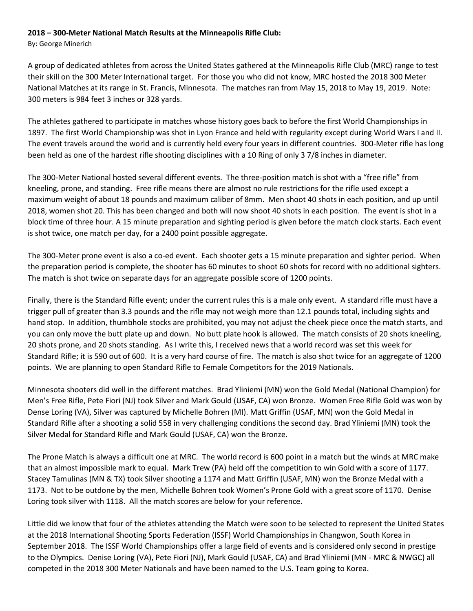## **2018 – 300-Meter National Match Results at the Minneapolis Rifle Club:**

By: George Minerich

A group of dedicated athletes from across the United States gathered at the Minneapolis Rifle Club (MRC) range to test their skill on the 300 Meter International target. For those you who did not know, MRC hosted the 2018 300 Meter National Matches at its range in St. Francis, Minnesota. The matches ran from May 15, 2018 to May 19, 2019. Note: 300 meters is 984 feet 3 inches or 328 yards.

The athletes gathered to participate in matches whose history goes back to before the first World Championships in 1897. The first World Championship was shot in Lyon France and held with regularity except during World Wars I and II. The event travels around the world and is currently held every four years in different countries. 300-Meter rifle has long been held as one of the hardest rifle shooting disciplines with a 10 Ring of only 3 7/8 inches in diameter.

The 300-Meter National hosted several different events. The three-position match is shot with a "free rifle" from kneeling, prone, and standing. Free rifle means there are almost no rule restrictions for the rifle used except a maximum weight of about 18 pounds and maximum caliber of 8mm. Men shoot 40 shots in each position, and up until 2018, women shot 20. This has been changed and both will now shoot 40 shots in each position. The event is shot in a block time of three hour. A 15 minute preparation and sighting period is given before the match clock starts. Each event is shot twice, one match per day, for a 2400 point possible aggregate.

The 300-Meter prone event is also a co-ed event. Each shooter gets a 15 minute preparation and sighter period. When the preparation period is complete, the shooter has 60 minutes to shoot 60 shots for record with no additional sighters. The match is shot twice on separate days for an aggregate possible score of 1200 points.

Finally, there is the Standard Rifle event; under the current rules this is a male only event. A standard rifle must have a trigger pull of greater than 3.3 pounds and the rifle may not weigh more than 12.1 pounds total, including sights and hand stop. In addition, thumbhole stocks are prohibited, you may not adjust the cheek piece once the match starts, and you can only move the butt plate up and down. No butt plate hook is allowed. The match consists of 20 shots kneeling, 20 shots prone, and 20 shots standing. As I write this, I received news that a world record was set this week for Standard Rifle; it is 590 out of 600. It is a very hard course of fire. The match is also shot twice for an aggregate of 1200 points. We are planning to open Standard Rifle to Female Competitors for the 2019 Nationals.

Minnesota shooters did well in the different matches. Brad Yliniemi (MN) won the Gold Medal (National Champion) for Men's Free Rifle, Pete Fiori (NJ) took Silver and Mark Gould (USAF, CA) won Bronze. Women Free Rifle Gold was won by Dense Loring (VA), Silver was captured by Michelle Bohren (MI). Matt Griffin (USAF, MN) won the Gold Medal in Standard Rifle after a shooting a solid 558 in very challenging conditions the second day. Brad Yliniemi (MN) took the Silver Medal for Standard Rifle and Mark Gould (USAF, CA) won the Bronze.

The Prone Match is always a difficult one at MRC. The world record is 600 point in a match but the winds at MRC make that an almost impossible mark to equal. Mark Trew (PA) held off the competition to win Gold with a score of 1177. Stacey Tamulinas (MN & TX) took Silver shooting a 1174 and Matt Griffin (USAF, MN) won the Bronze Medal with a 1173. Not to be outdone by the men, Michelle Bohren took Women's Prone Gold with a great score of 1170. Denise Loring took silver with 1118. All the match scores are below for your reference.

Little did we know that four of the athletes attending the Match were soon to be selected to represent the United States at the 2018 International Shooting Sports Federation (ISSF) World Championships in Changwon, South Korea in September 2018. The ISSF World Championships offer a large field of events and is considered only second in prestige to the Olympics. Denise Loring (VA), Pete Fiori (NJ), Mark Gould (USAF, CA) and Brad Yliniemi (MN - MRC & NWGC) all competed in the 2018 300 Meter Nationals and have been named to the U.S. Team going to Korea.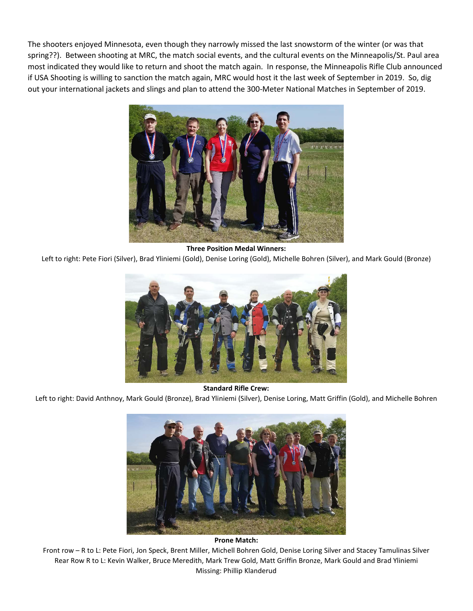The shooters enjoyed Minnesota, even though they narrowly missed the last snowstorm of the winter (or was that spring??). Between shooting at MRC, the match social events, and the cultural events on the Minneapolis/St. Paul area most indicated they would like to return and shoot the match again. In response, the Minneapolis Rifle Club announced if USA Shooting is willing to sanction the match again, MRC would host it the last week of September in 2019. So, dig out your international jackets and slings and plan to attend the 300-Meter National Matches in September of 2019.



**Three Position Medal Winners:** 

Left to right: Pete Fiori (Silver), Brad Yliniemi (Gold), Denise Loring (Gold), Michelle Bohren (Silver), and Mark Gould (Bronze)



## **Standard Rifle Crew:**

Left to right: David Anthnoy, Mark Gould (Bronze), Brad Yliniemi (Silver), Denise Loring, Matt Griffin (Gold), and Michelle Bohren



## **Prone Match:**

Front row – R to L: Pete Fiori, Jon Speck, Brent Miller, Michell Bohren Gold, Denise Loring Silver and Stacey Tamulinas Silver Rear Row R to L: Kevin Walker, Bruce Meredith, Mark Trew Gold, Matt Griffin Bronze, Mark Gould and Brad Yliniemi Missing: Phillip Klanderud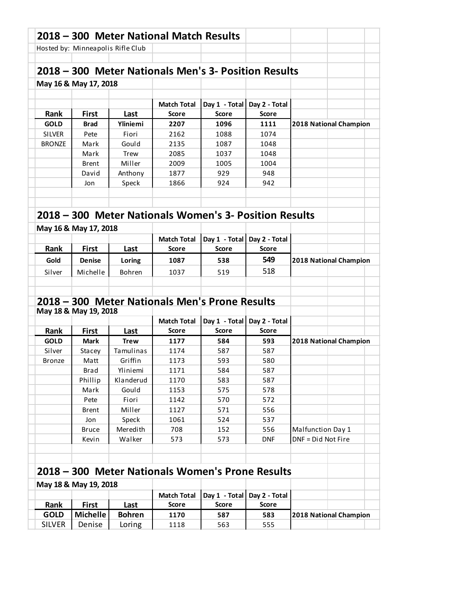|                     |                                   |                       | 2018 - 300 Meter National Match Results                |                     |               |                        |
|---------------------|-----------------------------------|-----------------------|--------------------------------------------------------|---------------------|---------------|------------------------|
|                     | Hosted by: Minneapolis Rifle Club |                       |                                                        |                     |               |                        |
|                     |                                   |                       |                                                        |                     |               |                        |
|                     |                                   |                       | 2018 – 300 Meter Nationals Men's 3- Position Results   |                     |               |                        |
|                     | May 16 & May 17, 2018             |                       |                                                        |                     |               |                        |
|                     |                                   |                       |                                                        |                     |               |                        |
|                     |                                   |                       | <b>Match Total</b>                                     | Day 1 - Total       | Day 2 - Total |                        |
| Rank                | <b>First</b>                      | Last                  | <b>Score</b>                                           | <b>Score</b>        | <b>Score</b>  |                        |
| <b>GOLD</b>         | <b>Brad</b>                       | Yliniemi              | 2207                                                   | 1096                | 1111          | 2018 National Champion |
| <b>SILVER</b>       | Pete                              | Fiori                 | 2162                                                   | 1088                | 1074          |                        |
| <b>BRONZE</b>       | Mark                              | Gould                 | 2135                                                   | 1087                | 1048          |                        |
|                     | Mark                              | <b>Trew</b>           | 2085                                                   | 1037                | 1048          |                        |
|                     | <b>Brent</b>                      | Miller                | 2009                                                   | 1005                | 1004          |                        |
|                     | David                             | Anthony               | 1877                                                   | 929                 | 948           |                        |
|                     | Jon                               | Speck                 | 1866                                                   | 924                 | 942           |                        |
|                     |                                   |                       |                                                        |                     |               |                        |
|                     |                                   |                       | 2018 – 300 Meter Nationals Women's 3- Position Results |                     |               |                        |
|                     | May 16 & May 17, 2018             |                       |                                                        |                     |               |                        |
|                     |                                   |                       | <b>Match Total</b>                                     | Day 1 - Total       | Day 2 - Total |                        |
| Rank                | <b>First</b>                      | Last                  | <b>Score</b>                                           | Score               | <b>Score</b>  |                        |
| Gold                | <b>Denise</b>                     | Loring                | 1087                                                   | 538                 | 549           | 2018 National Champion |
|                     |                                   |                       |                                                        |                     |               |                        |
|                     |                                   |                       |                                                        |                     |               |                        |
| Silver              | Michelle                          | <b>Bohren</b>         | 1037                                                   | 519                 | 518           |                        |
|                     |                                   |                       |                                                        |                     |               |                        |
|                     | May 18 & May 19, 2018             |                       | 2018 - 300 Meter Nationals Men's Prone Results         |                     |               |                        |
|                     |                                   |                       | <b>Match Total</b>                                     | Day 1 - Total       | Day 2 - Total |                        |
| Rank                | First                             | Last                  | Score                                                  | Score               | <b>Score</b>  |                        |
| <b>GOLD</b>         | <b>Mark</b>                       | <b>Trew</b>           | 1177                                                   | 584                 | 593           |                        |
| Silver              | <b>Stacey</b>                     | Tamulinas             | 1174                                                   | 587                 | 587           |                        |
| <b>Bronze</b>       | Matt                              | Griffin               | 1173                                                   | 593                 | 580           | 2018 National Champion |
|                     | <b>Brad</b>                       | Yliniemi              | 1171                                                   | 584                 | 587           |                        |
|                     | Phillip                           | Klanderud             | 1170                                                   | 583                 | 587           |                        |
|                     | Mark                              | Gould                 | 1153                                                   | 575                 | 578           |                        |
|                     | Pete                              | Fiori                 | 1142                                                   | 570                 | 572           |                        |
|                     | <b>Brent</b>                      | Miller                | 1127                                                   | 571                 | 556           |                        |
|                     | Jon                               | Speck                 | 1061                                                   | 524                 | 537           |                        |
|                     | <b>Bruce</b>                      | Meredith              | 708                                                    | 152                 | 556           | Malfunction Day 1      |
|                     | Kevin                             | Walker                | 573                                                    | 573                 | <b>DNF</b>    | DNF = Did Not Fire     |
|                     |                                   |                       |                                                        |                     |               |                        |
|                     |                                   |                       | 2018 - 300 Meter Nationals Women's Prone Results       |                     |               |                        |
|                     | May 18 & May 19, 2018             |                       |                                                        |                     |               |                        |
|                     |                                   |                       | <b>Match Total</b>                                     | Day 1 - Total       | Day 2 - Total |                        |
| Rank<br><b>GOLD</b> | <b>First</b><br><b>Michelle</b>   | Last<br><b>Bohren</b> | <b>Score</b><br>1170                                   | <b>Score</b><br>587 | Score<br>583  | 2018 National Champion |